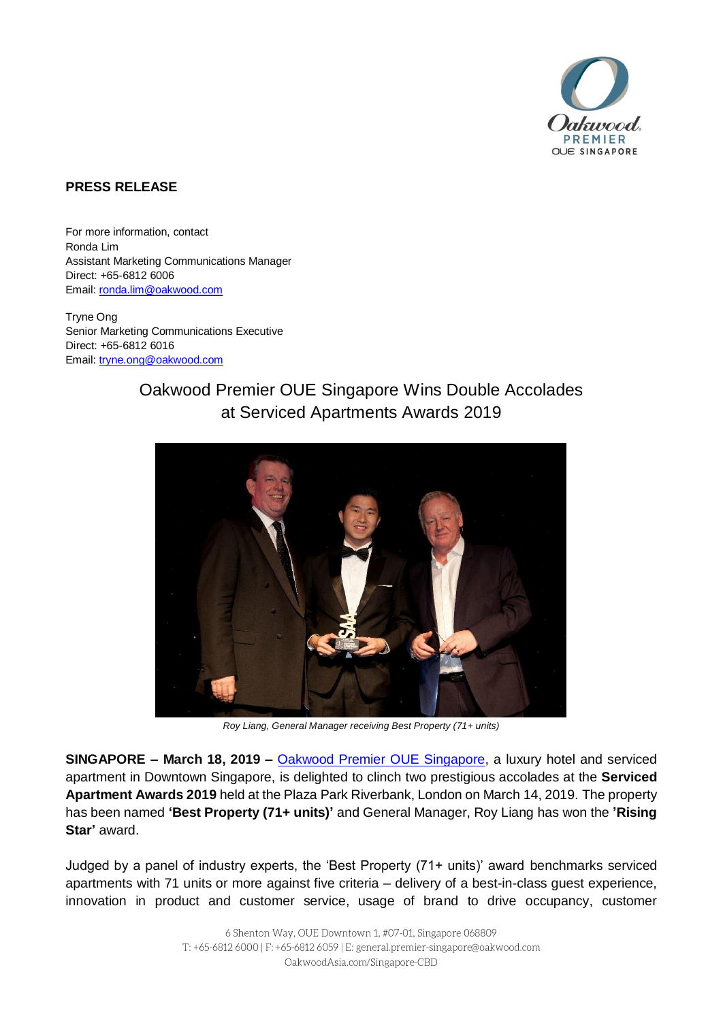

## **PRESS RELEASE**

For more information, contact Ronda Lim Assistant Marketing Communications Manager Direct: +65-6812 6006 Email[: ronda.lim@oakwood.com](mailto:ronda.lim@oakwood.com)

Tryne Ong Senior Marketing Communications Executive Direct: +65-6812 6016 Email[: tryne.ong@oakwood.com](mailto:tryne.ong@oakwood.com)

## Oakwood Premier OUE Singapore Wins Double Accolades at Serviced Apartments Awards 2019



*Roy Liang, General Manager receiving Best Property (71+ units)*

**SINGAPORE – March 18, 2019 –** [Oakwood Premier OUE Singapore,](http://www.oakwoodasia.com/Singapore-CBD) a luxury hotel and serviced apartment in Downtown Singapore, is delighted to clinch two prestigious accolades at the **Serviced Apartment Awards 2019** held at the Plaza Park Riverbank, London on March 14, 2019. The property has been named **'Best Property (71+ units)'** and General Manager, Roy Liang has won the **'Rising Star'** award.

Judged by a panel of industry experts, the 'Best Property (71+ units)' award benchmarks serviced apartments with 71 units or more against five criteria – delivery of a best-in-class guest experience, innovation in product and customer service, usage of brand to drive occupancy, customer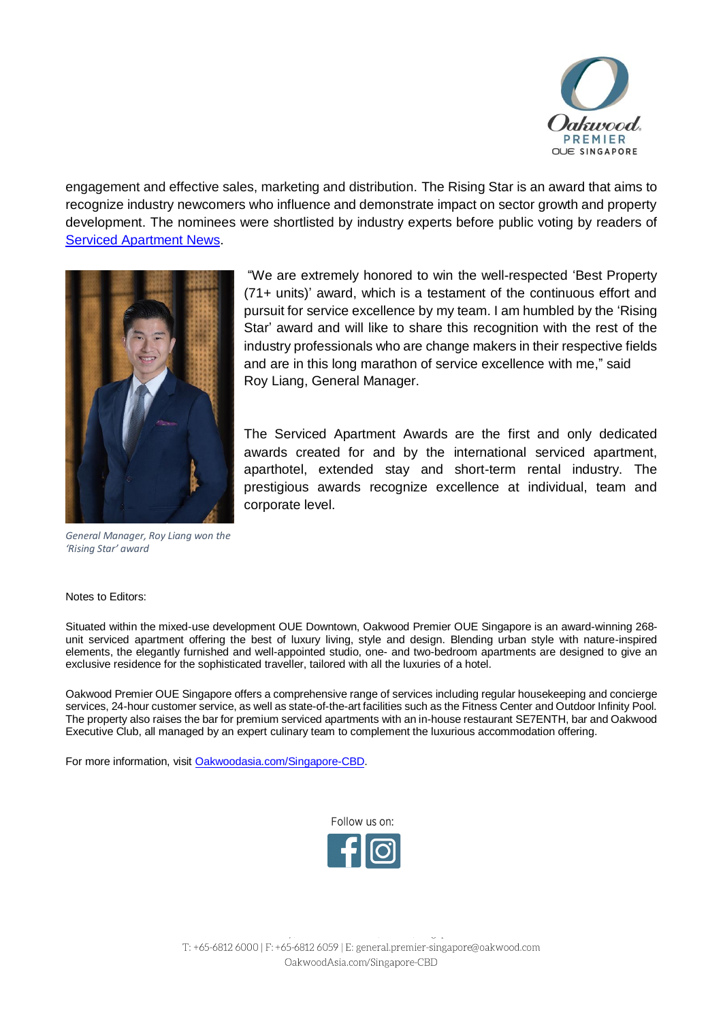

engagement and effective sales, marketing and distribution. The Rising Star is an award that aims to recognize industry newcomers who influence and demonstrate impact on sector growth and property development. The nominees were shortlisted by industry experts before public voting by readers of [Serviced Apartment News.](https://www.servicedapartmentnews.com/)



*General Manager, Roy Liang won the 'Rising Star' award*

"We are extremely honored to win the well-respected 'Best Property (71+ units)' award, which is a testament of the continuous effort and pursuit for service excellence by my team. I am humbled by the 'Rising Star' award and will like to share this recognition with the rest of the industry professionals who are change makers in their respective fields and are in this long marathon of service excellence with me," said Roy Liang, General Manager.

The Serviced Apartment Awards are the first and only dedicated awards created for and by the international serviced apartment, aparthotel, extended stay and short-term rental industry. The prestigious awards recognize excellence at individual, team and corporate level.

Notes to Editors:

Situated within the mixed-use development OUE Downtown, Oakwood Premier OUE Singapore is an award-winning 268 unit serviced apartment offering the best of luxury living, style and design. Blending urban style with nature-inspired elements, the elegantly furnished and well-appointed studio, one- and two-bedroom apartments are designed to give an exclusive residence for the sophisticated traveller, tailored with all the luxuries of a hotel.

Oakwood Premier OUE Singapore offers a comprehensive range of services including regular housekeeping and concierge services, 24-hour customer service, as well as state-of-the-art facilities such as the Fitness Center and Outdoor Infinity Pool. The property also raises the bar for premium serviced apartments with an in-house restaurant SE7ENTH, bar and Oakwood Executive Club, all managed by an expert culinary team to complement the luxurious accommodation offering.

For more information, visit [Oakwoodasia.com/Singapore-CBD.](https://www.oakwoodasia.com/serviced-apartments/singapore/oakwood-singapore-cbd/)

Follow us on: